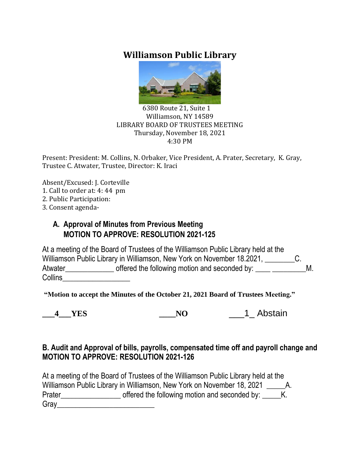# **Williamson Public Library**



#### 6380 Route 21, Suite 1 Williamson, NY 14589 LIBRARY BOARD OF TRUSTEES MEETING Thursday, November 18, 2021 4:30 PM

Present: President: M. Collins, N. Orbaker, Vice President, A. Prater, Secretary, K. Gray, Trustee C. Atwater, Trustee, Director: K. Iraci

Absent/Excused: J. Corteville

- 1. Call to order at: 4: 44 pm
- 2. Public Participation:
- 3. Consent agenda-

### **A. Approval of Minutes from Previous Meeting MOTION TO APPROVE: RESOLUTION 2021-125**

At a meeting of the Board of Trustees of the Williamson Public Library held at the Williamson Public Library in Williamson, New York on November 18.2021, C. Atwater\_\_\_\_\_\_\_\_\_\_\_\_\_\_ offered the following motion and seconded by: \_\_\_\_ \_\_\_\_\_\_\_\_M. Collins\_\_\_\_\_\_\_\_\_\_\_\_\_\_\_\_\_\_

**"Motion to accept the Minutes of the October 21, 2021 Board of Trustees Meeting."**

|--|

**4** YES NO 1 Abstain

### **B. Audit and Approval of bills, payrolls, compensated time off and payroll change and MOTION TO APPROVE: RESOLUTION 2021-126**

At a meeting of the Board of Trustees of the Williamson Public Library held at the Williamson Public Library in Williamson, New York on November 18, 2021 A. Prater\_\_\_\_\_\_\_\_\_\_\_\_\_\_\_\_\_\_\_\_\_\_ offered the following motion and seconded by: \_\_\_\_\_K. Gray\_\_\_\_\_\_\_\_\_\_\_\_\_\_\_\_\_\_\_\_\_\_\_\_\_\_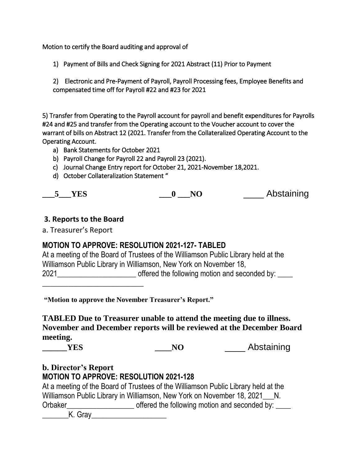Motion to certify the Board auditing and approval of

1) Payment of Bills and Check Signing for 2021 Abstract (11) Prior to Payment

2) Electronic and Pre-Payment of Payroll, Payroll Processing fees, Employee Benefits and compensated time off for Payroll #22 and #23 for 2021

5) Transfer from Operating to the Payroll account for payroll and benefit expenditures for Payrolls #24 and #25 and transfer from the Operating account to the Voucher account to cover the warrant of bills on Abstract 12 (2021. Transfer from the Collateralized Operating Account to the Operating Account.

- a) Bank Statements for October 2021
- b) Payroll Change for Payroll 22 and Payroll 23 (2021).
- c) Journal Change Entry report for October 21, 2021-November 18,2021.
- d) October Collateralization Statement "

| <b>YES</b> |  | Abstaining |
|------------|--|------------|
|------------|--|------------|

#### **3. Reports to the Board**

a. Treasurer's Report

### **MOTION TO APPROVE: RESOLUTION 2021-127- TABLED**

At a meeting of the Board of Trustees of the Williamson Public Library held at the Williamson Public Library in Williamson, New York on November 18, 2021\_\_\_\_\_\_\_\_\_\_\_\_\_\_\_\_\_\_\_\_\_ offered the following motion and seconded by: \_\_\_\_  $\frac{1}{2}$  , the set of the set of the set of the set of the set of the set of the set of the set of the set of the set of the set of the set of the set of the set of the set of the set of the set of the set of the set of

**"Motion to approve the November Treasurer's Report."**

**TABLED Due to Treasurer unable to attend the meeting due to illness. November and December reports will be reviewed at the December Board meeting.**

**THES THES THES THE NO THE** Abstaining

#### **b. Director's Report MOTION TO APPROVE: RESOLUTION 2021-128**

At a meeting of the Board of Trustees of the Williamson Public Library held at the Williamson Public Library in Williamson, New York on November 18, 2021\_\_\_N. Orbaker\_\_\_\_\_\_\_\_\_\_\_\_\_\_\_\_\_\_ offered the following motion and seconded by: \_\_\_\_

\_\_\_\_\_\_\_K. Gray\_\_\_\_\_\_\_\_\_\_\_\_\_\_\_\_\_\_\_\_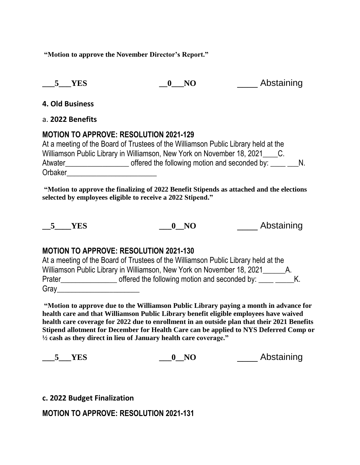**"Motion to approve the November Director's Report."**

**\_\_\_5\_\_\_YES \_\_0\_\_\_NO** \_\_\_\_ Abstaining

**4. Old Business**

#### a. **2022 Benefits**

### **MOTION TO APPROVE: RESOLUTION 2021-129**

At a meeting of the Board of Trustees of the Williamson Public Library held at the Williamson Public Library in Williamson, New York on November 18, 2021 C. Atwater\_\_\_\_\_\_\_\_\_\_\_\_\_\_\_\_\_ offered the following motion and seconded by: \_\_\_\_ \_\_\_N. Orbaker\_\_\_\_\_\_\_\_\_\_\_\_\_\_\_\_\_\_\_\_\_\_\_\_

**"Motion to approve the finalizing of 2022 Benefit Stipends as attached and the elections selected by employees eligible to receive a 2022 Stipend."**

**5** YES **0** NO **Abstaining** 

### **MOTION TO APPROVE: RESOLUTION 2021-130**

At a meeting of the Board of Trustees of the Williamson Public Library held at the Williamson Public Library in Williamson, New York on November 18, 2021\_\_\_\_\_\_\_\_\_A. Prater\_\_\_\_\_\_\_\_\_\_\_\_\_\_\_\_\_\_\_ offered the following motion and seconded by: \_\_\_\_\_ \_\_\_\_\_K. Gray

**"Motion to approve due to the Williamson Public Library paying a month in advance for health care and that Williamson Public Library benefit eligible employees have waived health care coverage for 2022 due to enrollment in an outside plan that their 2021 Benefits Stipend allotment for December for Health Care can be applied to NYS Deferred Comp or ½ cash as they direct in lieu of January health care coverage."**

| YES | NO. | Abstaining |
|-----|-----|------------|
|-----|-----|------------|

**c. 2022 Budget Finalization**

**MOTION TO APPROVE: RESOLUTION 2021-131**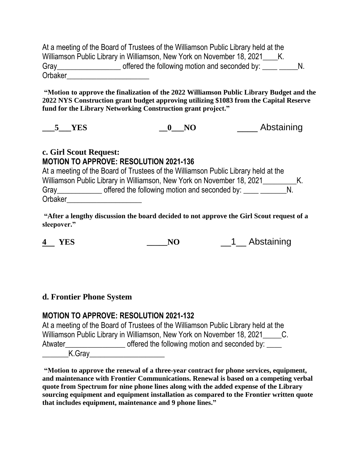At a meeting of the Board of Trustees of the Williamson Public Library held at the Williamson Public Library in Williamson, New York on November 18, 2021 K. Gray\_\_\_\_\_\_\_\_\_\_\_\_\_\_\_\_\_ offered the following motion and seconded by: \_\_\_\_ \_\_\_\_\_N. Orbaker\_\_\_\_\_\_\_\_\_\_\_\_\_\_\_\_\_\_\_\_\_\_

**"Motion to approve the finalization of the 2022 Williamson Public Library Budget and the 2022 NYS Construction grant budget approving utilizing \$1083 from the Capital Reserve fund for the Library Networking Construction grant project."**

|  |  | Abstaining |
|--|--|------------|
|--|--|------------|

### **c. Girl Scout Request: MOTION TO APPROVE: RESOLUTION 2021-136**

At a meeting of the Board of Trustees of the Williamson Public Library held at the Williamson Public Library in Williamson, New York on November 18, 2021\_\_\_\_\_\_\_\_\_\_K. Gray\_\_\_\_\_\_\_\_\_\_\_\_\_\_ offered the following motion and seconded by: \_\_\_\_ \_\_\_\_\_\_\_\_\_\_ Orbaker\_\_\_\_\_\_\_\_\_\_\_\_\_\_\_\_\_\_\_\_

**"After a lengthy discussion the board decided to not approve the Girl Scout request of a sleepover."**

**4 YES \_\_\_\_\_NO** \_\_1\_\_ Abstaining

### **d. Frontier Phone System**

### **MOTION TO APPROVE: RESOLUTION 2021-132**

|                     | At a meeting of the Board of Trustees of the Williamson Public Library held at the |             |
|---------------------|------------------------------------------------------------------------------------|-------------|
|                     | Williamson Public Library in Williamson, New York on November 18, 2021             | $C_{\cdot}$ |
| Atwater             | offered the following motion and seconded by:                                      |             |
| $V \cap \mathbb{R}$ |                                                                                    |             |

\_\_\_\_\_\_\_K.Gray\_\_\_\_\_\_\_\_\_\_\_\_\_\_\_\_\_\_\_\_

**"Motion to approve the renewal of a three-year contract for phone services, equipment, and maintenance with Frontier Communications. Renewal is based on a competing verbal quote from Spectrum for nine phone lines along with the added expense of the Library sourcing equipment and equipment installation as compared to the Frontier written quote that includes equipment, maintenance and 9 phone lines."**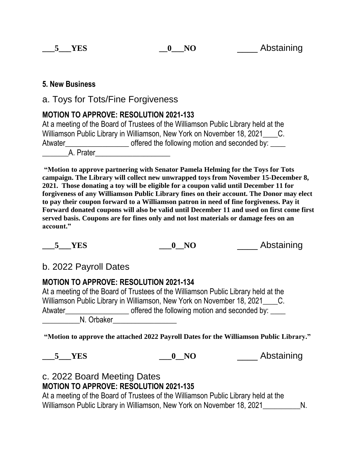#### **5. New Business**

a. Toys for Tots/Fine Forgiveness

### **MOTION TO APPROVE: RESOLUTION 2021-133**

At a meeting of the Board of Trustees of the Williamson Public Library held at the Williamson Public Library in Williamson, New York on November 18, 2021 C. Atwater\_\_\_\_\_\_\_\_\_\_\_\_\_\_\_\_\_\_\_\_\_\_\_\_\_\_ offered the following motion and seconded by: A. Prater

**"Motion to approve partnering with Senator Pamela Helming for the Toys for Tots campaign. The Library will collect new unwrapped toys from November 15-December 8, 2021. Those donating a toy will be eligible for a coupon valid until December 11 for forgiveness of any Williamson Public Library fines on their account. The Donor may elect to pay their coupon forward to a Williamson patron in need of fine forgiveness. Pay it Forward donated coupons will also be valid until December 11 and used on first come first served basis. Coupons are for fines only and not lost materials or damage fees on an account."**

**Let 5 YES b o NO Abstaining** 

# b. 2022 Payroll Dates

## **MOTION TO APPROVE: RESOLUTION 2021-134**

At a meeting of the Board of Trustees of the Williamson Public Library held at the Williamson Public Library in Williamson, New York on November 18, 2021 C. Atwater\_\_\_\_\_\_\_\_\_\_\_\_\_\_\_\_\_\_\_\_\_\_\_\_\_\_ offered the following motion and seconded by: \_\_\_\_\_\_\_\_\_\_N. Orbaker\_\_\_\_\_\_\_\_\_\_\_\_\_\_\_\_\_

**"Motion to approve the attached 2022 Payroll Dates for the Williamson Public Library."**

**EXECUTE:**  $\overline{O}$  **NO Abstaining** 

### c. 2022 Board Meeting Dates **MOTION TO APPROVE: RESOLUTION 2021-135**

At a meeting of the Board of Trustees of the Williamson Public Library held at the Williamson Public Library in Williamson, New York on November 18, 2021\_\_\_\_\_\_\_\_\_\_\_ N.